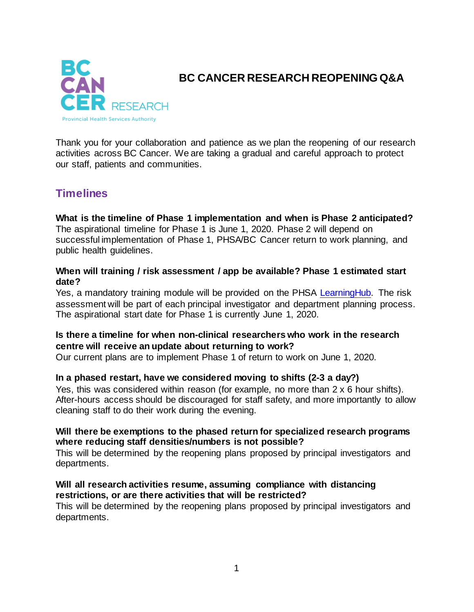

## **BC CANCER RESEARCH REOPENING Q&A**

Thank you for your collaboration and patience as we plan the reopening of our research activities across BC Cancer. We are taking a gradual and careful approach to protect our staff, patients and communities.

# **Timelines**

**What is the timeline of Phase 1 implementation and when is Phase 2 anticipated?** The aspirational timeline for Phase 1 is June 1, 2020. Phase 2 will depend on successful implementation of Phase 1, PHSA/BC Cancer return to work planning, and public health guidelines.

#### **When will training / risk assessment / app be available? Phase 1 estimated start date?**

Yes, a mandatory training module will be provided on the PHSA [LearningHub.](https://learninghub.phsa.ca/Courses/23248) The risk assessment will be part of each principal investigator and department planning process. The aspirational start date for Phase 1 is currently June 1, 2020.

#### **Is there a timeline for when non-clinical researchers who work in the research centre will receive an update about returning to work?**

Our current plans are to implement Phase 1 of return to work on June 1, 2020.

#### **In a phased restart, have we considered moving to shifts (2-3 a day?)**

Yes, this was considered within reason (for example, no more than 2 x 6 hour shifts). After-hours access should be discouraged for staff safety, and more importantly to allow cleaning staff to do their work during the evening.

#### **Will there be exemptions to the phased return for specialized research programs where reducing staff densities/numbers is not possible?**

This will be determined by the reopening plans proposed by principal investigators and departments.

#### **Will all research activities resume, assuming compliance with distancing restrictions, or are there activities that will be restricted?**

This will be determined by the reopening plans proposed by principal investigators and departments.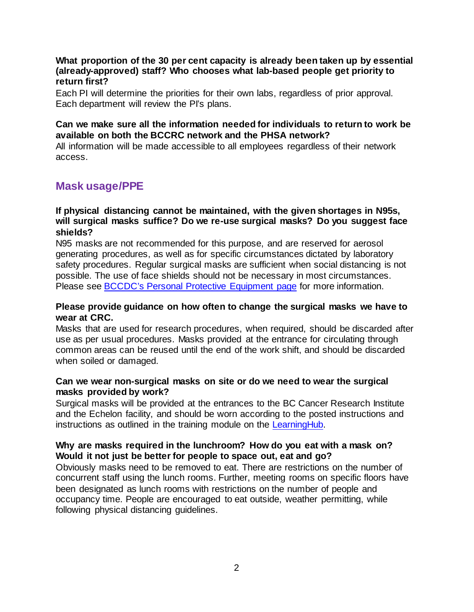#### **What proportion of the 30 per cent capacity is already been taken up by essential (already-approved) staff? Who chooses what lab-based people get priority to return first?**

Each PI will determine the priorities for their own labs, regardless of prior approval. Each department will review the PI's plans.

#### **Can we make sure all the information needed for individuals to return to work be available on both the BCCRC network and the PHSA network?**

All information will be made accessible to all employees regardless of their network access.

### **Mask usage/PPE**

#### **If physical distancing cannot be maintained, with the given shortages in N95s, will surgical masks suffice? Do we re-use surgical masks? Do you suggest face shields?**

N95 masks are not recommended for this purpose, and are reserved for aerosol generating procedures, as well as for specific circumstances dictated by laboratory safety procedures. Regular surgical masks are sufficient when social distancing is not possible. The use of face shields should not be necessary in most circumstances. Please see **BCCDC's Personal Protective Equipment page for more information.** 

#### **Please provide guidance on how often to change the surgical masks we have to wear at CRC.**

Masks that are used for research procedures, when required, should be discarded after use as per usual procedures. Masks provided at the entrance for circulating through common areas can be reused until the end of the work shift, and should be discarded when soiled or damaged.

#### **Can we wear non-surgical masks on site or do we need to wear the surgical masks provided by work?**

Surgical masks will be provided at the entrances to the BC Cancer Research Institute and the Echelon facility, and should be worn according to the posted instructions and instructions as outlined in the training module on the [LearningHub.](https://learninghub.phsa.ca/Courses/23248) 

#### **Why are masks required in the lunchroom? How do you eat with a mask on? Would it not just be better for people to space out, eat and go?**

Obviously masks need to be removed to eat. There are restrictions on the number of concurrent staff using the lunch rooms. Further, meeting rooms on specific floors have been designated as lunch rooms with restrictions on the number of people and occupancy time. People are encouraged to eat outside, weather permitting, while following physical distancing guidelines.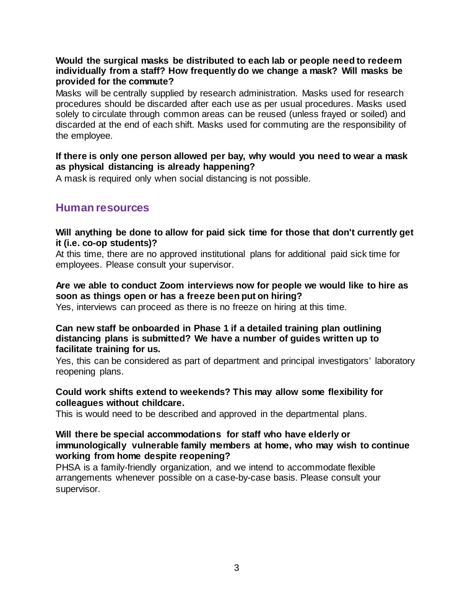#### **Would the surgical masks be distributed to each lab or people need to redeem individually from a staff? How frequently do we change a mask? Will masks be provided for the commute?**

Masks will be centrally supplied by research administration. Masks used for research procedures should be discarded after each use as per usual procedures. Masks used solely to circulate through common areas can be reused (unless frayed or soiled) and discarded at the end of each shift. Masks used for commuting are the responsibility of the employee.

#### **If there is only one person allowed per bay, why would you need to wear a mask as physical distancing is already happening?**

A mask is required only when social distancing is not possible.

### **Human resources**

#### **Will anything be done to allow for paid sick time for those that don't currently get it (i.e. co-op students)?**

At this time, there are no approved institutional plans for additional paid sick time for employees. Please consult your supervisor.

#### **Are we able to conduct Zoom interviews now for people we would like to hire as soon as things open or has a freeze been put on hiring?**

Yes, interviews can proceed as there is no freeze on hiring at this time.

#### **Can new staff be onboarded in Phase 1 if a detailed training plan outlining distancing plans is submitted? We have a number of guides written up to facilitate training for us.**

Yes, this can be considered as part of department and principal investigators' laboratory reopening plans.

#### **Could work shifts extend to weekends? This may allow some flexibility for colleagues without childcare.**

This is would need to be described and approved in the departmental plans.

#### **Will there be special accommodations for staff who have elderly or immunologically vulnerable family members at home, who may wish to continue working from home despite reopening?**

PHSA is a family-friendly organization, and we intend to accommodate flexible arrangements whenever possible on a case-by-case basis. Please consult your supervisor.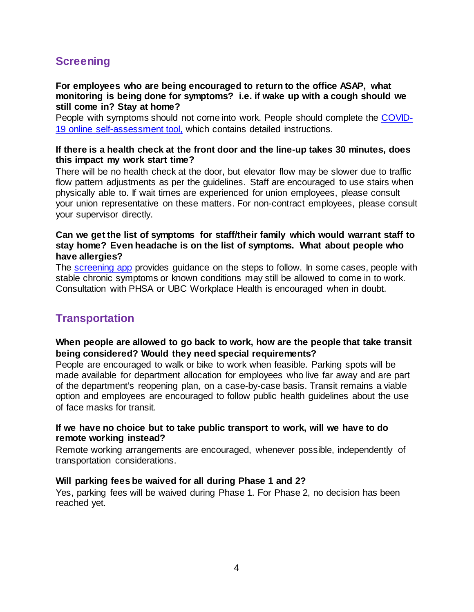# **Screening**

#### **For employees who are being encouraged to return to the office ASAP, what monitoring is being done for symptoms? i.e. if wake up with a cough should we still come in? Stay at home?**

People with symptoms should not come into work. People should complete the [COVID-](https://screening.bccrc.ca/)[19 online self-assessment tool,](https://screening.bccrc.ca/) which contains detailed instructions.

#### **If there is a health check at the front door and the line-up takes 30 minutes, does this impact my work start time?**

There will be no health check at the door, but elevator flow may be slower due to traffic flow pattern adjustments as per the guidelines. Staff are encouraged to use stairs when physically able to. If wait times are experienced for union employees, please consult your union representative on these matters. For non-contract employees, please consult your supervisor directly.

#### **Can we get the list of symptoms for staff/their family which would warrant staff to stay home? Even headache is on the list of symptoms. What about people who have allergies?**

The [screening app](https://screening.bccrc.ca/) provides guidance on the steps to follow. In some cases, people with stable chronic symptoms or known conditions may still be allowed to come in to work. Consultation with PHSA or UBC Workplace Health is encouraged when in doubt.

## **Transportation**

#### **When people are allowed to go back to work, how are the people that take transit being considered? Would they need special requirements?**

People are encouraged to walk or bike to work when feasible. Parking spots will be made available for department allocation for employees who live far away and are part of the department's reopening plan, on a case-by-case basis. Transit remains a viable option and employees are encouraged to follow public health guidelines about the use of face masks for transit.

#### **If we have no choice but to take public transport to work, will we have to do remote working instead?**

Remote working arrangements are encouraged, whenever possible, independently of transportation considerations.

#### **Will parking fees be waived for all during Phase 1 and 2?**

Yes, parking fees will be waived during Phase 1. For Phase 2, no decision has been reached yet.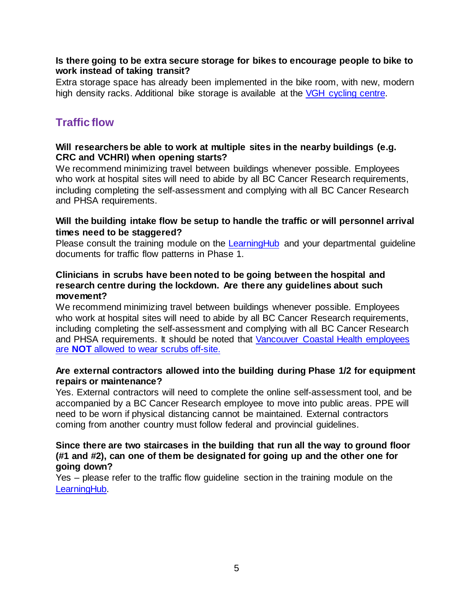#### **Is there going to be extra secure storage for bikes to encourage people to bike to work instead of taking transit?**

Extra storage space has already been implemented in the bike room, with new, modern high density racks. Additional bike storage is available at the [VGH cycling centre.](https://bcgreencare.ca/vgh-cycling-centre)

### **Traffic flow**

#### **Will researchers be able to work at multiple sites in the nearby buildings (e.g. CRC and VCHRI) when opening starts?**

We recommend minimizing travel between buildings whenever possible. Employees who work at hospital sites will need to abide by all BC Cancer Research requirements, including completing the self-assessment and complying with all BC Cancer Research and PHSA requirements.

#### **Will the building intake flow be setup to handle the traffic or will personnel arrival times need to be staggered?**

Please consult the training module on the [LearningHub](https://learninghub.phsa.ca/Courses/23248) and your departmental guideline documents for traffic flow patterns in Phase 1.

#### **Clinicians in scrubs have been noted to be going between the hospital and research centre during the lockdown. Are there any guidelines about such movement?**

We recommend minimizing travel between buildings whenever possible. Employees who work at hospital sites will need to abide by all BC Cancer Research requirements, including completing the self-assessment and complying with all BC Cancer Research and PHSA requirements. It should be noted that [Vancouver Coastal Health employees](http://www.vch.ca/Documents/VCH-professional-image-guidelines.pdf)  are **NOT** [allowed to wear scrubs off-site.](http://www.vch.ca/Documents/VCH-professional-image-guidelines.pdf)

#### **Are external contractors allowed into the building during Phase 1/2 for equipment repairs or maintenance?**

Yes. External contractors will need to complete the online self-assessment tool, and be accompanied by a BC Cancer Research employee to move into public areas. PPE will need to be worn if physical distancing cannot be maintained. External contractors coming from another country must follow federal and provincial guidelines.

#### **Since there are two staircases in the building that run all the way to ground floor (#1 and #2), can one of them be designated for going up and the other one for going down?**

Yes – please refer to the traffic flow guideline section in the training module on the [LearningHub.](https://learninghub.phsa.ca/Courses/23248)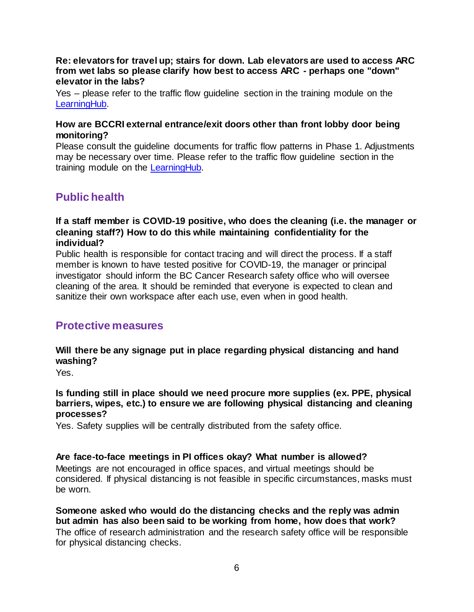#### **Re: elevators for travel up; stairs for down. Lab elevators are used to access ARC from wet labs so please clarify how best to access ARC - perhaps one "down" elevator in the labs?**

Yes – please refer to the traffic flow guideline section in the training module on the [LearningHub.](https://learninghub.phsa.ca/Courses/23248)

#### **How are BCCRI external entrance/exit doors other than front lobby door being monitoring?**

Please consult the guideline documents for traffic flow patterns in Phase 1. Adjustments may be necessary over time. Please refer to the traffic flow guideline section in the training module on the [LearningHub.](https://learninghub.phsa.ca/Courses/23248)

# **Public health**

#### **If a staff member is COVID-19 positive, who does the cleaning (i.e. the manager or cleaning staff?) How to do this while maintaining confidentiality for the individual?**

Public health is responsible for contact tracing and will direct the process. If a staff member is known to have tested positive for COVID-19, the manager or principal investigator should inform the BC Cancer Research safety office who will oversee cleaning of the area. It should be reminded that everyone is expected to clean and sanitize their own workspace after each use, even when in good health.

### **Protective measures**

### **Will there be any signage put in place regarding physical distancing and hand washing?**

Yes.

#### **Is funding still in place should we need procure more supplies (ex. PPE, physical barriers, wipes, etc.) to ensure we are following physical distancing and cleaning processes?**

Yes. Safety supplies will be centrally distributed from the safety office.

#### **Are face-to-face meetings in PI offices okay? What number is allowed?**

Meetings are not encouraged in office spaces, and virtual meetings should be considered. If physical distancing is not feasible in specific circumstances, masks must be worn.

**Someone asked who would do the distancing checks and the reply was admin but admin has also been said to be working from home, how does that work?** The office of research administration and the research safety office will be responsible for physical distancing checks.